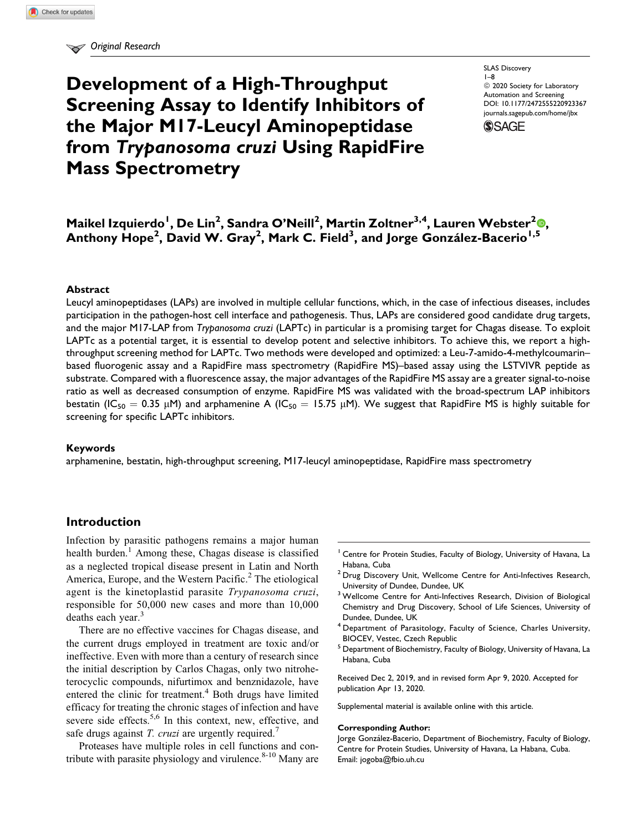# Development of a High-Throughput Screening Assay to Identify Inhibitors of the Major M17-Leucyl Aminopeptidase from Trypanosoma cruzi Using RapidFire Mass Spectrometry

SLAS Discovery 1–8 <sup>©</sup> 2020 Society for Laboratory Automation and Screening [DOI: 10.1177/2472555220923367](https://doi.org/10.1177/2472555220923367) [journals.sagepub.com/home/jbx](http://journals.sagepub.com/home/jbx)

**SSAGE** 

## Maikel Izquierdo<sup>l</sup>[,](https://orcid.org/0000-0001-5192-7584) De Lin<sup>2</sup>, Sandra O'Neill<sup>2</sup>, Martin Zoltner<sup>3,4</sup>, Lauren Webster<sup>2</sup>®, Anthony Hope<sup>2</sup>, David W. Gray<sup>2</sup>, Mark C. Field<sup>3</sup>, and Jorge González-Bacerio<sup>1,5</sup>

#### **Abstract**

Leucyl aminopeptidases (LAPs) are involved in multiple cellular functions, which, in the case of infectious diseases, includes participation in the pathogen-host cell interface and pathogenesis. Thus, LAPs are considered good candidate drug targets, and the major M17-LAP from Trypanosoma cruzi (LAPTc) in particular is a promising target for Chagas disease. To exploit LAPTc as a potential target, it is essential to develop potent and selective inhibitors. To achieve this, we report a highthroughput screening method for LAPTc. Two methods were developed and optimized: a Leu-7-amido-4-methylcoumarin– based fluorogenic assay and a RapidFire mass spectrometry (RapidFire MS)–based assay using the LSTVIVR peptide as substrate. Compared with a fluorescence assay, the major advantages of the RapidFire MS assay are a greater signal-to-noise ratio as well as decreased consumption of enzyme. RapidFire MS was validated with the broad-spectrum LAP inhibitors bestatin (IC<sub>50</sub> = 0.35 µM) and arphamenine A (IC<sub>50</sub> = 15.75 µM). We suggest that RapidFire MS is highly suitable for screening for specific LAPTc inhibitors.

#### Keywords

arphamenine, bestatin, high-throughput screening, M17-leucyl aminopeptidase, RapidFire mass spectrometry

## Introduction

Infection by parasitic pathogens remains a major human health burden.<sup>1</sup> Among these, Chagas disease is classified as a neglected tropical disease present in Latin and North America, Europe, and the Western Pacific.<sup>2</sup> The etiological agent is the kinetoplastid parasite Trypanosoma cruzi, responsible for 50,000 new cases and more than 10,000 deaths each year.<sup>3</sup>

There are no effective vaccines for Chagas disease, and the current drugs employed in treatment are toxic and/or ineffective. Even with more than a century of research since the initial description by Carlos Chagas, only two nitroheterocyclic compounds, nifurtimox and benznidazole, have entered the clinic for treatment.<sup>4</sup> Both drugs have limited efficacy for treating the chronic stages of infection and have severe side effects.<sup>5,6</sup> In this context, new, effective, and safe drugs against T. cruzi are urgently required.<sup>7</sup>

Proteases have multiple roles in cell functions and contribute with parasite physiology and virulence. $8-10$  Many are

- <sup>1</sup> Centre for Protein Studies, Faculty of Biology, University of Havana, La Habana, Cuba
- <sup>2</sup> Drug Discovery Unit, Wellcome Centre for Anti-Infectives Research, University of Dundee, Dundee, UK
- <sup>3</sup> Wellcome Centre for Anti-Infectives Research, Division of Biological Chemistry and Drug Discovery, School of Life Sciences, University of Dundee, Dundee, UK
- <sup>4</sup> Department of Parasitology, Faculty of Science, Charles University, BIOCEV, Vestec, Czech Republic
- <sup>5</sup> Department of Biochemistry, Faculty of Biology, University of Havana, La Habana, Cuba

Received Dec 2, 2019, and in revised form Apr 9, 2020. Accepted for publication Apr 13, 2020.

Supplemental material is available online with this article.

#### Corresponding Author:

Jorge González-Bacerio, Department of Biochemistry, Faculty of Biology, Centre for Protein Studies, University of Havana, La Habana, Cuba. Email: [jogoba@fbio.uh.cu](mailto:jogoba@fbio.uh.cu)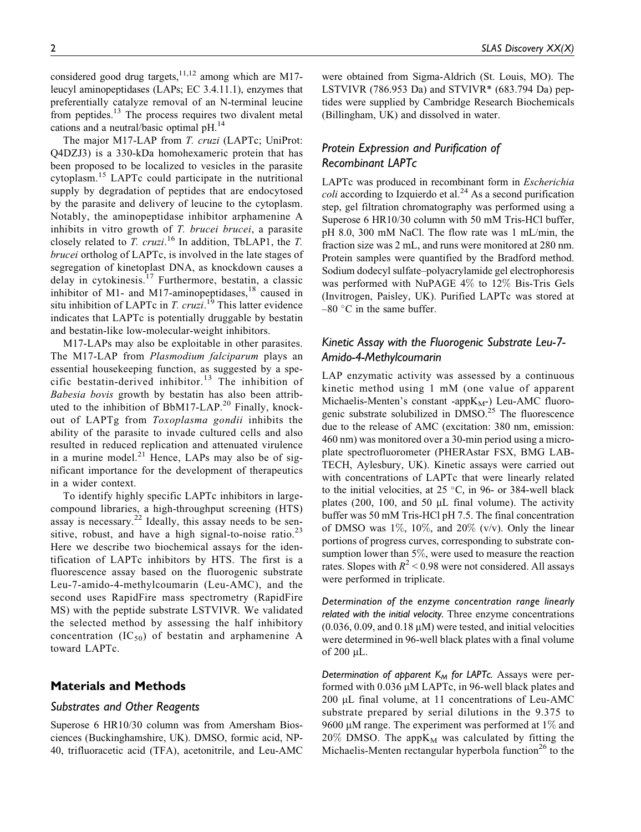considered good drug targets,<sup>11,12</sup> among which are M17leucyl aminopeptidases (LAPs; EC 3.4.11.1), enzymes that preferentially catalyze removal of an N-terminal leucine from peptides.<sup>13</sup> The process requires two divalent metal cations and a neutral/basic optimal pH.14

The major M17-LAP from T. cruzi (LAPTc; UniProt: Q4DZJ3) is a 330-kDa homohexameric protein that has been proposed to be localized to vesicles in the parasite cytoplasm.<sup>15</sup> LAPTc could participate in the nutritional supply by degradation of peptides that are endocytosed by the parasite and delivery of leucine to the cytoplasm. Notably, the aminopeptidase inhibitor arphamenine A inhibits in vitro growth of *T. brucei brucei*, a parasite closely related to T. cruzi.<sup>16</sup> In addition, TbLAP1, the T. brucei ortholog of LAPTc, is involved in the late stages of segregation of kinetoplast DNA, as knockdown causes a delay in cytokinesis.<sup>17</sup> Furthermore, bestatin, a classic inhibitor of M1- and M17-aminopeptidases, $^{18}$  caused in situ inhibition of LAPTc in *T. cruzi*.<sup>19</sup> This latter evidence indicates that LAPTc is potentially druggable by bestatin and bestatin-like low-molecular-weight inhibitors.

M17-LAPs may also be exploitable in other parasites. The M17-LAP from Plasmodium falciparum plays an essential housekeeping function, as suggested by a specific bestatin-derived inhibitor.<sup>13</sup> The inhibition of Babesia bovis growth by bestatin has also been attributed to the inhibition of BbM17-LAP.<sup>20</sup> Finally, knockout of LAPTg from Toxoplasma gondii inhibits the ability of the parasite to invade cultured cells and also resulted in reduced replication and attenuated virulence in a murine model. $^{21}$  Hence, LAPs may also be of significant importance for the development of therapeutics in a wider context.

To identify highly specific LAPTc inhibitors in largecompound libraries, a high-throughput screening (HTS) assay is necessary.<sup>22</sup> Ideally, this assay needs to be sensitive, robust, and have a high signal-to-noise ratio. $^{23}$ Here we describe two biochemical assays for the identification of LAPTc inhibitors by HTS. The first is a fluorescence assay based on the fluorogenic substrate Leu-7-amido-4-methylcoumarin (Leu-AMC), and the second uses RapidFire mass spectrometry (RapidFire MS) with the peptide substrate LSTVIVR. We validated the selected method by assessing the half inhibitory concentration  $(IC_{50})$  of bestatin and arphamenine A toward LAPTc.

## Materials and Methods

#### Substrates and Other Reagents

Superose 6 HR10/30 column was from Amersham Biosciences (Buckinghamshire, UK). DMSO, formic acid, NP-40, trifluoracetic acid (TFA), acetonitrile, and Leu-AMC

were obtained from Sigma-Aldrich (St. Louis, MO). The LSTVIVR (786.953 Da) and STVIVR\* (683.794 Da) peptides were supplied by Cambridge Research Biochemicals (Billingham, UK) and dissolved in water.

## Protein Expression and Purification of Recombinant LAPTc

LAPTc was produced in recombinant form in Escherichia *coli* according to Izquierdo et al.<sup>24</sup> As a second purification step, gel filtration chromatography was performed using a Superose 6 HR10/30 column with 50 mM Tris-HCl buffer, pH 8.0, 300 mM NaCl. The flow rate was 1 mL/min, the fraction size was 2 mL, and runs were monitored at 280 nm. Protein samples were quantified by the Bradford method. Sodium dodecyl sulfate–polyacrylamide gel electrophoresis was performed with NuPAGE 4% to 12% Bis-Tris Gels (Invitrogen, Paisley, UK). Purified LAPTc was stored at  $-80$  °C in the same buffer.

## Kinetic Assay with the Fluorogenic Substrate Leu-7- Amido-4-Methylcoumarin

LAP enzymatic activity was assessed by a continuous kinetic method using 1 mM (one value of apparent Michaelis-Menten's constant -app $K_M$ -) Leu-AMC fluorogenic substrate solubilized in  $DMSO<sup>25</sup>$ . The fluorescence due to the release of AMC (excitation: 380 nm, emission: 460 nm) was monitored over a 30-min period using a microplate spectrofluorometer (PHERAstar FSX, BMG LAB-TECH, Aylesbury, UK). Kinetic assays were carried out with concentrations of LAPTc that were linearly related to the initial velocities, at  $25^{\circ}$ C, in 96- or 384-well black plates (200, 100, and 50  $\mu$ L final volume). The activity buffer was 50 mM Tris-HCl pH 7.5. The final concentration of DMSO was  $1\%$ ,  $10\%$ , and  $20\%$  (v/v). Only the linear portions of progress curves, corresponding to substrate consumption lower than 5%, were used to measure the reaction rates. Slopes with  $R^2$  < 0.98 were not considered. All assays were performed in triplicate.

Determination of the enzyme concentration range linearly related with the initial velocity. Three enzyme concentrations  $(0.036, 0.09, \text{ and } 0.18 \,\mu\text{M})$  were tested, and initial velocities were determined in 96-well black plates with a final volume of  $200 \mu L$ .

Determination of apparent  $K_M$  for LAPTc. Assays were performed with  $0.036 \mu M$  LAPTc, in 96-well black plates and 200 µL final volume, at 11 concentrations of Leu-AMC substrate prepared by serial dilutions in the 9.375 to 9600  $\mu$ M range. The experiment was performed at 1% and  $20\%$  DMSO. The app $K_M$  was calculated by fitting the Michaelis-Menten rectangular hyperbola function<sup>26</sup> to the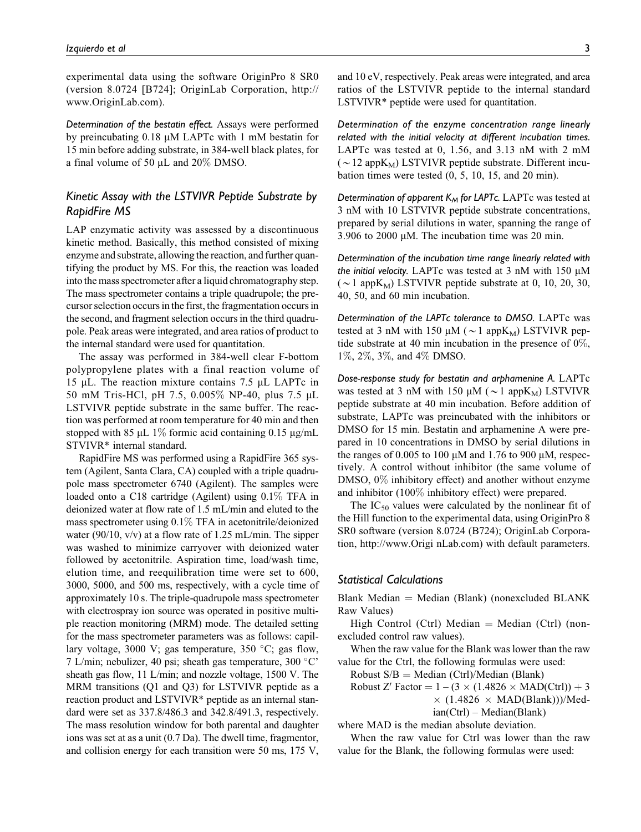experimental data using the software OriginPro 8 SR0 (version 8.0724 [B724]; OriginLab Corporation, http:// www.OriginLab.com).

Determination of the bestatin effect. Assays were performed by preincubating  $0.18 \mu M$  LAPTc with 1 mM bestatin for 15 min before adding substrate, in 384-well black plates, for a final volume of 50  $\mu$ L and 20% DMSO.

## Kinetic Assay with the LSTVIVR Peptide Substrate by RapidFire MS

LAP enzymatic activity was assessed by a discontinuous kinetic method. Basically, this method consisted of mixing enzyme and substrate, allowing the reaction, and further quantifying the product by MS. For this, the reaction was loaded into the mass spectrometer after a liquid chromatography step. The mass spectrometer contains a triple quadrupole; the precursor selection occurs in the first, the fragmentation occurs in the second, and fragment selection occurs in the third quadrupole. Peak areas were integrated, and area ratios of product to the internal standard were used for quantitation.

The assay was performed in 384-well clear F-bottom polypropylene plates with a final reaction volume of 15 mL. The reaction mixture contains 7.5 mL LAPTc in 50 mM Tris-HCl, pH 7.5, 0.005% NP-40, plus 7.5 mL LSTVIVR peptide substrate in the same buffer. The reaction was performed at room temperature for 40 min and then stopped with 85  $\mu$ L 1% formic acid containing 0.15  $\mu$ g/mL STVIVR\* internal standard.

RapidFire MS was performed using a RapidFire 365 system (Agilent, Santa Clara, CA) coupled with a triple quadrupole mass spectrometer 6740 (Agilent). The samples were loaded onto a C18 cartridge (Agilent) using 0.1% TFA in deionized water at flow rate of 1.5 mL/min and eluted to the mass spectrometer using 0.1% TFA in acetonitrile/deionized water (90/10,  $v/v$ ) at a flow rate of 1.25 mL/min. The sipper was washed to minimize carryover with deionized water followed by acetonitrile. Aspiration time, load/wash time, elution time, and reequilibration time were set to 600, 3000, 5000, and 500 ms, respectively, with a cycle time of approximately 10 s. The triple-quadrupole mass spectrometer with electrospray ion source was operated in positive multiple reaction monitoring (MRM) mode. The detailed setting for the mass spectrometer parameters was as follows: capillary voltage, 3000 V; gas temperature, 350 °C; gas flow, 7 L/min; nebulizer, 40 psi; sheath gas temperature, 300 °C' sheath gas flow, 11 L/min; and nozzle voltage, 1500 V. The MRM transitions (Q1 and Q3) for LSTVIVR peptide as a reaction product and LSTVIVR\* peptide as an internal standard were set as 337.8/486.3 and 342.8/491.3, respectively. The mass resolution window for both parental and daughter ions was set at as a unit (0.7 Da). The dwell time, fragmentor, and collision energy for each transition were 50 ms, 175 V,

and 10 eV, respectively. Peak areas were integrated, and area ratios of the LSTVIVR peptide to the internal standard LSTVIVR\* peptide were used for quantitation.

Determination of the enzyme concentration range linearly related with the initial velocity at different incubation times. LAPTc was tested at 0, 1.56, and 3.13 nM with 2 mM  $(\sim 12 \text{ appK}_{\text{M}})$  LSTVIVR peptide substrate. Different incubation times were tested (0, 5, 10, 15, and 20 min).

Determination of apparent  $K_M$  for LAPTc. LAPTc was tested at 3 nM with 10 LSTVIVR peptide substrate concentrations, prepared by serial dilutions in water, spanning the range of  $3.906$  to  $2000 \mu M$ . The incubation time was 20 min.

Determination of the incubation time range linearly related with the initial velocity. LAPTc was tested at 3 nM with 150  $\mu$ M ( $\sim$ 1 app $K_M$ ) LSTVIVR peptide substrate at 0, 10, 20, 30, 40, 50, and 60 min incubation.

Determination of the LAPTc tolerance to DMSO. LAPTc was tested at 3 nM with 150  $\mu$ M ( $\sim$ 1 app $K_M$ ) LSTVIVR peptide substrate at 40 min incubation in the presence of  $0\%$ , 1%, 2%, 3%, and 4% DMSO.

Dose-response study for bestatin and arphamenine A. LAPTc was tested at 3 nM with 150  $\mu$ M ( $\sim$ 1 app $K_M$ ) LSTVIVR peptide substrate at 40 min incubation. Before addition of substrate, LAPTc was preincubated with the inhibitors or DMSO for 15 min. Bestatin and arphamenine A were prepared in 10 concentrations in DMSO by serial dilutions in the ranges of 0.005 to 100  $\mu$ M and 1.76 to 900  $\mu$ M, respectively. A control without inhibitor (the same volume of DMSO, 0% inhibitory effect) and another without enzyme and inhibitor (100% inhibitory effect) were prepared.

The  $IC_{50}$  values were calculated by the nonlinear fit of the Hill function to the experimental data, using OriginPro 8 SR0 software (version 8.0724 (B724); OriginLab Corporation, http://www.Origi nLab.com) with default parameters.

## Statistical Calculations

Blank Median  $=$  Median (Blank) (nonexcluded BLANK Raw Values)

High Control (Ctrl) Median  $=$  Median (Ctrl) (nonexcluded control raw values).

When the raw value for the Blank was lower than the raw value for the Ctrl, the following formulas were used:

Robust  $S/B = Median (Ctrl)/Median (Bank)$ 

Robust Z' Factor  $= 1 - (3 \times (1.4826 \times \text{MAD(Ctrl)}) + 3$ 

 $\times$  (1.4826  $\times$  MAD(Blank)))/Med-

ian(Ctrl) – Median(Blank)

where MAD is the median absolute deviation.

When the raw value for Ctrl was lower than the raw value for the Blank, the following formulas were used: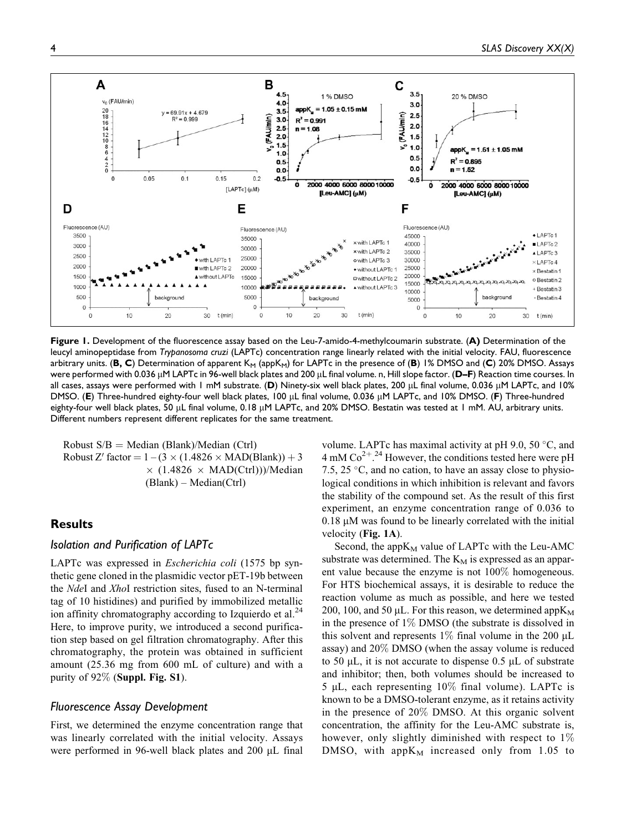

Figure 1. Development of the fluorescence assay based on the Leu-7-amido-4-methylcoumarin substrate. (A) Determination of the leucyl aminopeptidase from Trypanosoma cruzi (LAPTc) concentration range linearly related with the initial velocity. FAU, fluorescence arbitrary units. (B, C) Determination of apparent  $K_M$  (app $K_M$ ) for LAPTc in the presence of (B) 1% DMSO and (C) 20% DMSO. Assays were performed with 0.036  $\mu$ M LAPTc in 96-well black plates and 200  $\mu$ L final volume. n, Hill slope factor. (D–F) Reaction time courses. In all cases, assays were performed with 1 mM substrate. (D) Ninety-six well black plates, 200 µL final volume, 0.036 µM LAPTc, and 10% DMSO. (E) Three-hundred eighty-four well black plates, 100 µL final volume, 0.036 µM LAPTc, and 10% DMSO. (F) Three-hundred eighty-four well black plates, 50 µL final volume, 0.18 µM LAPTc, and 20% DMSO. Bestatin was tested at 1 mM. AU, arbitrary units. Different numbers represent different replicates for the same treatment.

Robust  $S/B = Median (Blank)/Median (Ctrl)$ Robust Z' factor  $= 1 - (3 \times (1.4826 \times \text{MAD(Blank)}) + 3$  $\times$  (1.4826  $\times$  MAD(Ctrl)))/Median (Blank) – Median(Ctrl)

## **Results**

## Isolation and Purification of LAPTc

LAPTc was expressed in Escherichia coli (1575 bp synthetic gene cloned in the plasmidic vector pET-19b between the NdeI and XhoI restriction sites, fused to an N-terminal tag of 10 histidines) and purified by immobilized metallic ion affinity chromatography according to Izquierdo et al. $^{24}$ Here, to improve purity, we introduced a second purification step based on gel filtration chromatography. After this chromatography, the protein was obtained in sufficient amount (25.36 mg from 600 mL of culture) and with a purity of  $92\%$  (Suppl. Fig. S1).

#### Fluorescence Assay Development

First, we determined the enzyme concentration range that was linearly correlated with the initial velocity. Assays were performed in 96-well black plates and 200  $\mu$ L final

volume. LAPTc has maximal activity at pH 9.0, 50 $\degree$ C, and  $4 \text{ mM Co}^{2+}$ .<sup>24</sup> However, the conditions tested here were pH 7.5, 25  $\degree$ C, and no cation, to have an assay close to physiological conditions in which inhibition is relevant and favors the stability of the compound set. As the result of this first experiment, an enzyme concentration range of 0.036 to  $0.18$   $\mu$ M was found to be linearly correlated with the initial velocity (Fig. 1A).

Second, the app $K_M$  value of LAPTc with the Leu-AMC substrate was determined. The  $K_M$  is expressed as an apparent value because the enzyme is not 100% homogeneous. For HTS biochemical assays, it is desirable to reduce the reaction volume as much as possible, and here we tested 200, 100, and 50  $\mu$ L. For this reason, we determined app $K_M$ in the presence of 1% DMSO (the substrate is dissolved in this solvent and represents 1% final volume in the 200  $\mu$ L assay) and 20% DMSO (when the assay volume is reduced to 50  $\mu$ L, it is not accurate to dispense 0.5  $\mu$ L of substrate and inhibitor; then, both volumes should be increased to 5  $\mu$ L, each representing 10% final volume). LAPTc is known to be a DMSO-tolerant enzyme, as it retains activity in the presence of 20% DMSO. At this organic solvent concentration, the affinity for the Leu-AMC substrate is, however, only slightly diminished with respect to 1% DMSO, with app $K_M$  increased only from 1.05 to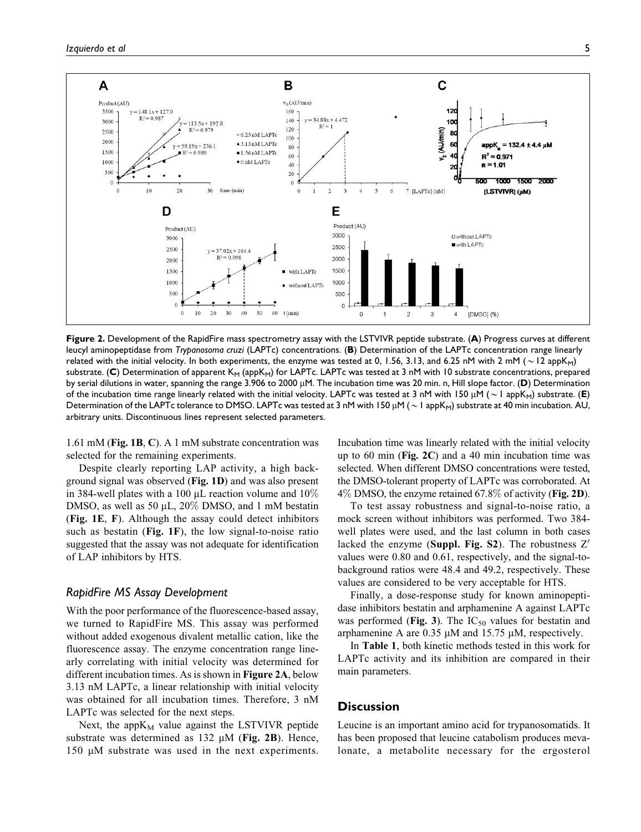

Figure 2. Development of the RapidFire mass spectrometry assay with the LSTVIVR peptide substrate. (A) Progress curves at different leucyl aminopeptidase from Trypanosoma cruzi (LAPTc) concentrations. (B) Determination of the LAPTc concentration range linearly related with the initial velocity. In both experiments, the enzyme was tested at 0, 1.56, 3.13, and 6.25 nM with 2 mM ( $\sim$  12 appK<sub>M</sub>) substrate. (C) Determination of apparent  $K_M$  (app $K_M$ ) for LAPTc. LAPTc was tested at 3 nM with 10 substrate concentrations, prepared by serial dilutions in water, spanning the range 3.906 to 2000  $\mu$ M. The incubation time was 20 min. n, Hill slope factor. (D) Determination of the incubation time range linearly related with the initial velocity. LAPTc was tested at 3 nM with 150  $\mu$ M ( $\sim$  1 appK<sub>M</sub>) substrate. (E) Determination of the LAPTc tolerance to DMSO. LAPTc was tested at 3 nM with 150  $\mu$ M ( $\sim$  1 appK<sub>M</sub>) substrate at 40 min incubation. AU, arbitrary units. Discontinuous lines represent selected parameters.

1.61 mM (Fig. 1B, C). A 1 mM substrate concentration was selected for the remaining experiments.

Despite clearly reporting LAP activity, a high background signal was observed (Fig. 1D) and was also present in 384-well plates with a 100  $\mu$ L reaction volume and 10% DMSO, as well as 50  $\mu$ L, 20% DMSO, and 1 mM bestatin (Fig. 1E, F). Although the assay could detect inhibitors such as bestatin (Fig. 1F), the low signal-to-noise ratio suggested that the assay was not adequate for identification of LAP inhibitors by HTS.

## RapidFire MS Assay Development

With the poor performance of the fluorescence-based assay, we turned to RapidFire MS. This assay was performed without added exogenous divalent metallic cation, like the fluorescence assay. The enzyme concentration range linearly correlating with initial velocity was determined for different incubation times. As is shown in Figure 2A, below 3.13 nM LAPTc, a linear relationship with initial velocity was obtained for all incubation times. Therefore, 3 nM LAPTc was selected for the next steps.

Next, the app $K_M$  value against the LSTVIVR peptide substrate was determined as  $132 \mu M$  (Fig. 2B). Hence, 150 µM substrate was used in the next experiments.

Incubation time was linearly related with the initial velocity up to 60 min (Fig. 2C) and a 40 min incubation time was selected. When different DMSO concentrations were tested, the DMSO-tolerant property of LAPTc was corroborated. At  $4\%$  DMSO, the enzyme retained 67.8% of activity (Fig. 2D).

To test assay robustness and signal-to-noise ratio, a mock screen without inhibitors was performed. Two 384 well plates were used, and the last column in both cases lacked the enzyme (Suppl. Fig. S2). The robustness  $Z'$ values were 0.80 and 0.61, respectively, and the signal-tobackground ratios were 48.4 and 49.2, respectively. These values are considered to be very acceptable for HTS.

Finally, a dose-response study for known aminopeptidase inhibitors bestatin and arphamenine A against LAPTc was performed (Fig. 3). The  $IC_{50}$  values for bestatin and arphamenine A are  $0.35 \mu M$  and  $15.75 \mu M$ , respectively.

In Table 1, both kinetic methods tested in this work for LAPTc activity and its inhibition are compared in their main parameters.

## **Discussion**

Leucine is an important amino acid for trypanosomatids. It has been proposed that leucine catabolism produces mevalonate, a metabolite necessary for the ergosterol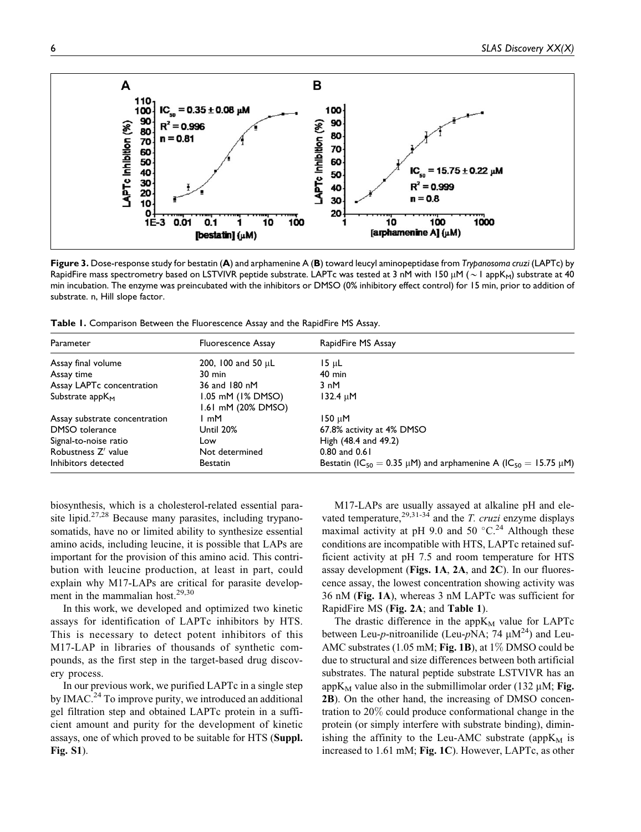

Figure 3. Dose-response study for bestatin (A) and arphamenine A (B) toward leucyl aminopeptidase from Trypanosoma cruzi (LAPTc) by RapidFire mass spectrometry based on LSTVIVR peptide substrate. LAPTc was tested at 3 nM with 150 µM ( $\sim$  1 appK<sub>M</sub>) substrate at 40 min incubation. The enzyme was preincubated with the inhibitors or DMSO (0% inhibitory effect control) for 15 min, prior to addition of substrate. n, Hill slope factor.

Table 1. Comparison Between the Fluorescence Assay and the RapidFire MS Assay.

| Parameter                     | <b>Fluorescence Assay</b>               | RapidFire MS Assay                                                                    |
|-------------------------------|-----------------------------------------|---------------------------------------------------------------------------------------|
| Assay final volume            | 200, 100 and 50 $\mu$ L                 | $15 \mu L$                                                                            |
| Assay time                    | $30 \text{ min}$                        | $40 \text{ min}$                                                                      |
| Assay LAPTc concentration     | 36 and 180 nM                           | 3 nM                                                                                  |
| Substrate $appKM$             | 1.05 mM (1% DMSO)<br>1.61 mM (20% DMSO) | $132.4 \mu M$                                                                         |
| Assay substrate concentration | l mM                                    | 150 uM                                                                                |
| DMSO tolerance                | Until 20%                               | 67.8% activity at 4% DMSO                                                             |
| Signal-to-noise ratio         | Low                                     | High (48.4 and 49.2)                                                                  |
| Robustness Z' value           | Not determined                          | $0.80$ and $0.61$                                                                     |
| Inhibitors detected           | <b>Bestatin</b>                         | Bestatin (IC <sub>50</sub> = 0.35 µM) and arphamenine A (IC <sub>50</sub> = 15.75 µM) |

biosynthesis, which is a cholesterol-related essential parasite lipid.<sup>27,28</sup> Because many parasites, including trypanosomatids, have no or limited ability to synthesize essential amino acids, including leucine, it is possible that LAPs are important for the provision of this amino acid. This contribution with leucine production, at least in part, could explain why M17-LAPs are critical for parasite development in the mammalian host.<sup>29,30</sup>

In this work, we developed and optimized two kinetic assays for identification of LAPTc inhibitors by HTS. This is necessary to detect potent inhibitors of this M17-LAP in libraries of thousands of synthetic compounds, as the first step in the target-based drug discovery process.

In our previous work, we purified LAPTc in a single step by IMAC.<sup>24</sup> To improve purity, we introduced an additional gel filtration step and obtained LAPTc protein in a sufficient amount and purity for the development of kinetic assays, one of which proved to be suitable for HTS (Suppl. Fig. S1).

M17-LAPs are usually assayed at alkaline pH and elevated temperature,  $2^{9,31-34}$  and the *T. cruzi* enzyme displays maximal activity at pH 9.0 and 50  $^{\circ}$ C.<sup>24</sup> Although these conditions are incompatible with HTS, LAPTc retained sufficient activity at pH 7.5 and room temperature for HTS assay development (Figs. 1A, 2A, and 2C). In our fluorescence assay, the lowest concentration showing activity was 36 nM (Fig. 1A), whereas 3 nM LAPTc was sufficient for RapidFire MS (Fig. 2A; and Table 1).

The drastic difference in the app $K_M$  value for LAPTc between Leu-p-nitroanilide (Leu-pNA; 74  $\mu$ M<sup>24</sup>) and Leu-AMC substrates (1.05 mM; Fig. 1B), at  $1\%$  DMSO could be due to structural and size differences between both artificial substrates. The natural peptide substrate LSTVIVR has an app $K_M$  value also in the submillimolar order (132 µM; Fig. 2B). On the other hand, the increasing of DMSO concentration to 20% could produce conformational change in the protein (or simply interfere with substrate binding), diminishing the affinity to the Leu-AMC substrate (app $K_M$  is increased to 1.61 mM; Fig. 1C). However, LAPTc, as other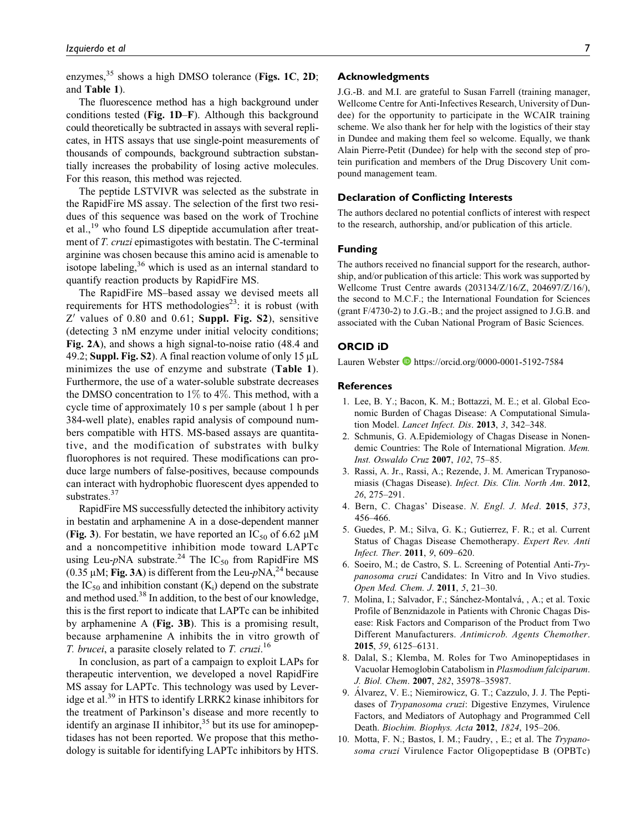enzymes, $35$  shows a high DMSO tolerance (Figs. 1C, 2D; and Table 1).

The fluorescence method has a high background under conditions tested (Fig. 1D–F). Although this background could theoretically be subtracted in assays with several replicates, in HTS assays that use single-point measurements of thousands of compounds, background subtraction substantially increases the probability of losing active molecules. For this reason, this method was rejected.

The peptide LSTVIVR was selected as the substrate in the RapidFire MS assay. The selection of the first two residues of this sequence was based on the work of Trochine et al.,<sup>19</sup> who found LS dipeptide accumulation after treatment of T. cruzi epimastigotes with bestatin. The C-terminal arginine was chosen because this amino acid is amenable to isotope labeling,  $36$  which is used as an internal standard to quantify reaction products by RapidFire MS.

The RapidFire MS–based assay we devised meets all requirements for HTS methodologies<sup>23</sup>: it is robust (with  $Z'$  values of 0.80 and 0.61; Suppl. Fig. S2), sensitive (detecting 3 nM enzyme under initial velocity conditions; Fig. 2A), and shows a high signal-to-noise ratio (48.4 and 49.2; Suppl. Fig. S2). A final reaction volume of only  $15 \mu L$ minimizes the use of enzyme and substrate (Table 1). Furthermore, the use of a water-soluble substrate decreases the DMSO concentration to  $1\%$  to  $4\%$ . This method, with a cycle time of approximately 10 s per sample (about 1 h per 384-well plate), enables rapid analysis of compound numbers compatible with HTS. MS-based assays are quantitative, and the modification of substrates with bulky fluorophores is not required. These modifications can produce large numbers of false-positives, because compounds can interact with hydrophobic fluorescent dyes appended to substrates.<sup>37</sup>

RapidFire MS successfully detected the inhibitory activity in bestatin and arphamenine A in a dose-dependent manner (Fig. 3). For bestatin, we have reported an  $IC_{50}$  of 6.62  $\mu$ M and a noncompetitive inhibition mode toward LAPTc using Leu- $p$ NA substrate.<sup>24</sup> The IC<sub>50</sub> from RapidFire MS (0.35  $\mu$ M; Fig. 3A) is different from the Leu- $pNA$ <sup>24</sup> because the  $IC_{50}$  and inhibition constant  $(K_i)$  depend on the substrate and method used.<sup>38</sup> In addition, to the best of our knowledge, this is the first report to indicate that LAPTc can be inhibited by arphamenine A (Fig. 3B). This is a promising result, because arphamenine A inhibits the in vitro growth of *T. brucei*, a parasite closely related to *T. cruzi*.<sup>16</sup>

In conclusion, as part of a campaign to exploit LAPs for therapeutic intervention, we developed a novel RapidFire MS assay for LAPTc. This technology was used by Leveridge et al.<sup>39</sup> in HTS to identify LRRK2 kinase inhibitors for the treatment of Parkinson's disease and more recently to identify an arginase II inhibitor,  $35$  but its use for aminopeptidases has not been reported. We propose that this methodology is suitable for identifying LAPTc inhibitors by HTS.

#### Acknowledgments

J.G.-B. and M.I. are grateful to Susan Farrell (training manager, Wellcome Centre for Anti-Infectives Research, University of Dundee) for the opportunity to participate in the WCAIR training scheme. We also thank her for help with the logistics of their stay in Dundee and making them feel so welcome. Equally, we thank Alain Pierre-Petit (Dundee) for help with the second step of protein purification and members of the Drug Discovery Unit compound management team.

#### Declaration of Conflicting Interests

The authors declared no potential conflicts of interest with respect to the research, authorship, and/or publication of this article.

#### Funding

The authors received no financial support for the research, authorship, and/or publication of this article: This work was supported by Wellcome Trust Centre awards (203134/Z/16/Z, 204697/Z/16/), the second to M.C.F.; the International Foundation for Sciences (grant F/4730-2) to J.G.-B.; and the project assigned to J.G.B. and associated with the Cuban National Program of Basic Sciences.

#### ORCID iD

Lauren Webster D<https://orcid.org/0000-0001-5192-7584>

#### **References**

- 1. Lee, B. Y.; Bacon, K. M.; Bottazzi, M. E.; et al. Global Economic Burden of Chagas Disease: A Computational Simulation Model. Lancet Infect. Dis. 2013, 3, 342–348.
- 2. Schmunis, G. A.Epidemiology of Chagas Disease in Nonendemic Countries: The Role of International Migration. Mem. Inst. Oswaldo Cruz 2007, 102, 75–85.
- 3. Rassi, A. Jr., Rassi, A.; Rezende, J. M. American Trypanosomiasis (Chagas Disease). Infect. Dis. Clin. North Am. 2012, 26, 275–291.
- 4. Bern, C. Chagas' Disease. N. Engl. J. Med. 2015, 373, 456–466.
- 5. Guedes, P. M.; Silva, G. K.; Gutierrez, F. R.; et al. Current Status of Chagas Disease Chemotherapy. Expert Rev. Anti Infect. Ther. 2011, 9, 609–620.
- 6. Soeiro, M.; de Castro, S. L. Screening of Potential Anti-Trypanosoma cruzi Candidates: In Vitro and In Vivo studies. Open Med. Chem. J. 2011, 5, 21–30.
- 7. Molina, I.; Salvador, F.; Sánchez-Montalvá, , A.; et al. Toxic Profile of Benznidazole in Patients with Chronic Chagas Disease: Risk Factors and Comparison of the Product from Two Different Manufacturers. Antimicrob. Agents Chemother. 2015, 59, 6125–6131.
- 8. Dalal, S.; Klemba, M. Roles for Two Aminopeptidases in Vacuolar Hemoglobin Catabolism in Plasmodium falciparum. J. Biol. Chem. 2007, 282, 35978–35987.
- 9. Alvarez, V. E.; Niemirowicz, G. T.; Cazzulo, J. J. The Peptidases of *Trypanosoma cruzi*: Digestive Enzymes, Virulence Factors, and Mediators of Autophagy and Programmed Cell Death. Biochim. Biophys. Acta 2012, 1824, 195–206.
- 10. Motta, F. N.; Bastos, I. M.; Faudry, , E.; et al. The Trypanosoma cruzi Virulence Factor Oligopeptidase B (OPBTc)